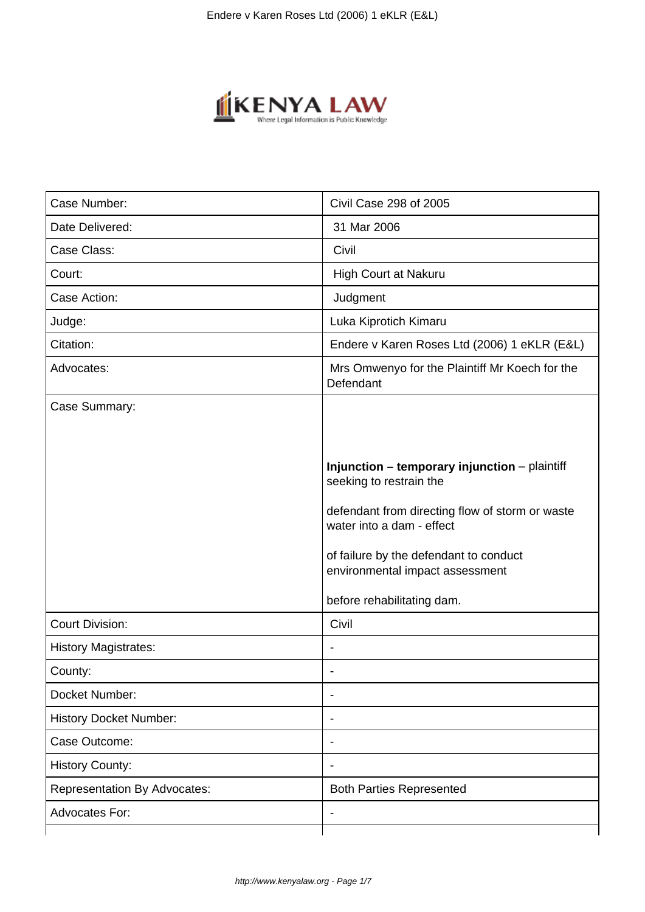

| Case Number:                        | Civil Case 298 of 2005                                                       |
|-------------------------------------|------------------------------------------------------------------------------|
| Date Delivered:                     | 31 Mar 2006                                                                  |
| Case Class:                         | Civil                                                                        |
| Court:                              | High Court at Nakuru                                                         |
| Case Action:                        | Judgment                                                                     |
| Judge:                              | Luka Kiprotich Kimaru                                                        |
| Citation:                           | Endere v Karen Roses Ltd (2006) 1 eKLR (E&L)                                 |
| Advocates:                          | Mrs Omwenyo for the Plaintiff Mr Koech for the<br>Defendant                  |
| Case Summary:                       |                                                                              |
|                                     |                                                                              |
|                                     | Injunction - temporary injunction - plaintiff<br>seeking to restrain the     |
|                                     | defendant from directing flow of storm or waste<br>water into a dam - effect |
|                                     | of failure by the defendant to conduct<br>environmental impact assessment    |
|                                     | before rehabilitating dam.                                                   |
| <b>Court Division:</b>              | Civil                                                                        |
| <b>History Magistrates:</b>         |                                                                              |
| County:                             |                                                                              |
| Docket Number:                      |                                                                              |
| <b>History Docket Number:</b>       |                                                                              |
| Case Outcome:                       | $\qquad \qquad \blacksquare$                                                 |
| <b>History County:</b>              | -                                                                            |
| <b>Representation By Advocates:</b> | <b>Both Parties Represented</b>                                              |
| Advocates For:                      | ÷                                                                            |
|                                     |                                                                              |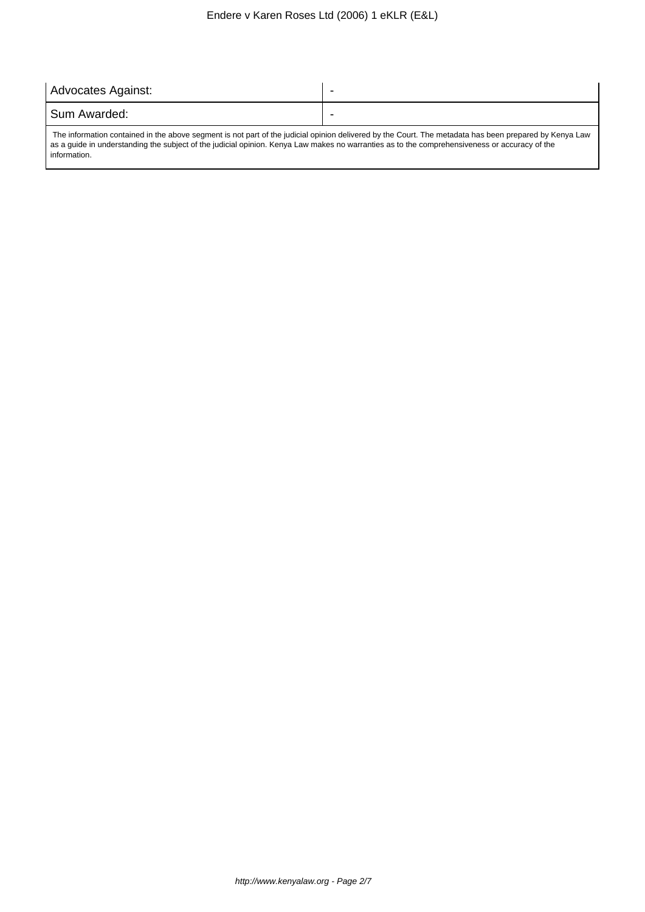| Advocates Against:                                                                                                                                     |   |
|--------------------------------------------------------------------------------------------------------------------------------------------------------|---|
| l Sum Awarded:                                                                                                                                         | ۰ |
| The information contained in the above segment is not part of the judicial opinion delivered by the Court. The metadata has been prepared by Kenya Law |   |

as a guide in understanding the subject of the judicial opinion. Kenya Law makes no warranties as to the comprehensiveness or accuracy of the information.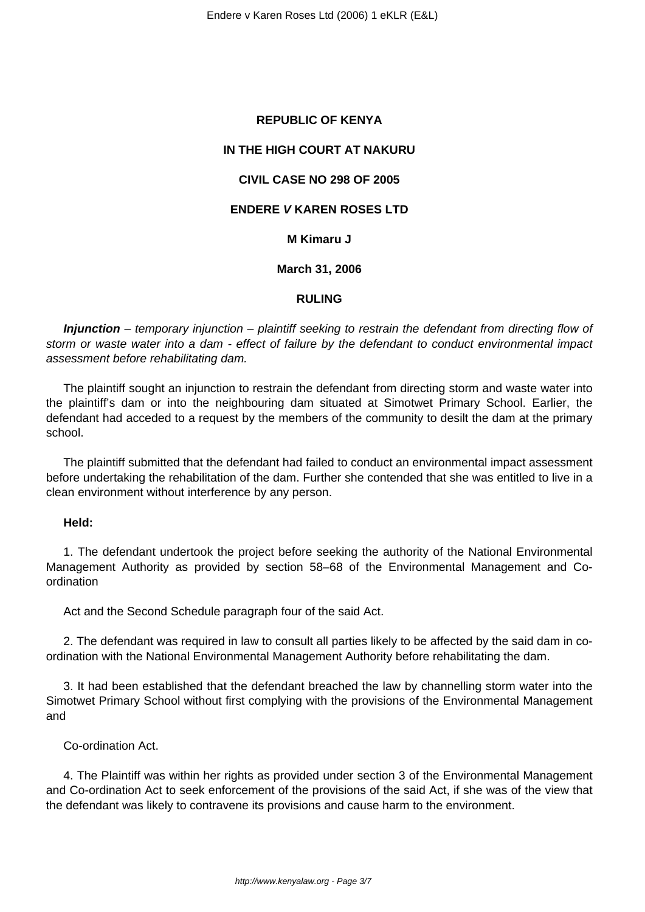## **REPUBLIC OF KENYA**

# **IN THE HIGH COURT AT NAKURU**

## **CIVIL CASE NO 298 OF 2005**

# **ENDERE V KAREN ROSES LTD**

## **M Kimaru J**

### **March 31, 2006**

### **RULING**

**Injunction** – temporary injunction – plaintiff seeking to restrain the defendant from directing flow of storm or waste water into a dam - effect of failure by the defendant to conduct environmental impact assessment before rehabilitating dam.

The plaintiff sought an injunction to restrain the defendant from directing storm and waste water into the plaintiff's dam or into the neighbouring dam situated at Simotwet Primary School. Earlier, the defendant had acceded to a request by the members of the community to desilt the dam at the primary school.

The plaintiff submitted that the defendant had failed to conduct an environmental impact assessment before undertaking the rehabilitation of the dam. Further she contended that she was entitled to live in a clean environment without interference by any person.

### **Held:**

1. The defendant undertook the project before seeking the authority of the National Environmental Management Authority as provided by section 58–68 of the Environmental Management and Coordination

Act and the Second Schedule paragraph four of the said Act.

2. The defendant was required in law to consult all parties likely to be affected by the said dam in coordination with the National Environmental Management Authority before rehabilitating the dam.

3. It had been established that the defendant breached the law by channelling storm water into the Simotwet Primary School without first complying with the provisions of the Environmental Management and

Co-ordination Act.

4. The Plaintiff was within her rights as provided under section 3 of the Environmental Management and Co-ordination Act to seek enforcement of the provisions of the said Act, if she was of the view that the defendant was likely to contravene its provisions and cause harm to the environment.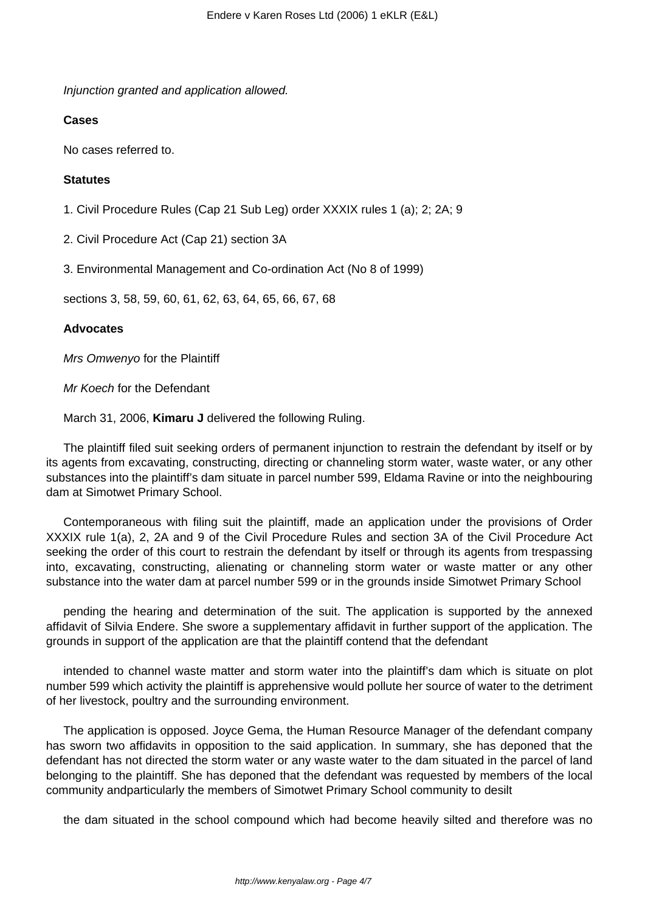Injunction granted and application allowed.

# **Cases**

No cases referred to.

## **Statutes**

1. Civil Procedure Rules (Cap 21 Sub Leg) order XXXIX rules 1 (a); 2; 2A; 9

2. Civil Procedure Act (Cap 21) section 3A

3. Environmental Management and Co-ordination Act (No 8 of 1999)

sections 3, 58, 59, 60, 61, 62, 63, 64, 65, 66, 67, 68

## **Advocates**

Mrs Omwenyo for the Plaintiff

Mr Koech for the Defendant

March 31, 2006, **Kimaru J** delivered the following Ruling.

The plaintiff filed suit seeking orders of permanent injunction to restrain the defendant by itself or by its agents from excavating, constructing, directing or channeling storm water, waste water, or any other substances into the plaintiff's dam situate in parcel number 599, Eldama Ravine or into the neighbouring dam at Simotwet Primary School.

Contemporaneous with filing suit the plaintiff, made an application under the provisions of Order XXXIX rule 1(a), 2, 2A and 9 of the Civil Procedure Rules and section 3A of the Civil Procedure Act seeking the order of this court to restrain the defendant by itself or through its agents from trespassing into, excavating, constructing, alienating or channeling storm water or waste matter or any other substance into the water dam at parcel number 599 or in the grounds inside Simotwet Primary School

pending the hearing and determination of the suit. The application is supported by the annexed affidavit of Silvia Endere. She swore a supplementary affidavit in further support of the application. The grounds in support of the application are that the plaintiff contend that the defendant

intended to channel waste matter and storm water into the plaintiff's dam which is situate on plot number 599 which activity the plaintiff is apprehensive would pollute her source of water to the detriment of her livestock, poultry and the surrounding environment.

The application is opposed. Joyce Gema, the Human Resource Manager of the defendant company has sworn two affidavits in opposition to the said application. In summary, she has deponed that the defendant has not directed the storm water or any waste water to the dam situated in the parcel of land belonging to the plaintiff. She has deponed that the defendant was requested by members of the local community andparticularly the members of Simotwet Primary School community to desilt

the dam situated in the school compound which had become heavily silted and therefore was no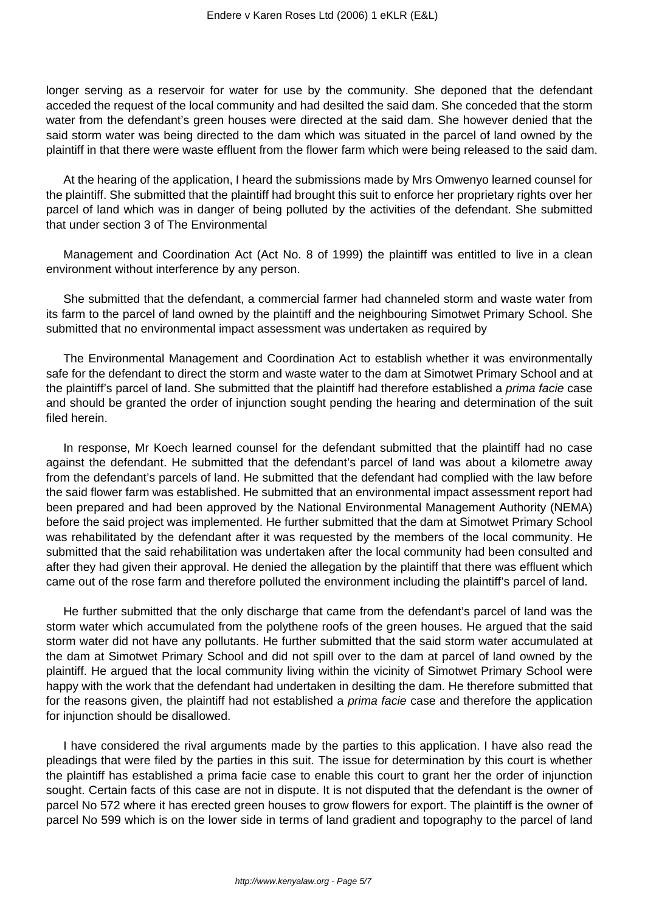longer serving as a reservoir for water for use by the community. She deponed that the defendant acceded the request of the local community and had desilted the said dam. She conceded that the storm water from the defendant's green houses were directed at the said dam. She however denied that the said storm water was being directed to the dam which was situated in the parcel of land owned by the plaintiff in that there were waste effluent from the flower farm which were being released to the said dam.

At the hearing of the application, I heard the submissions made by Mrs Omwenyo learned counsel for the plaintiff. She submitted that the plaintiff had brought this suit to enforce her proprietary rights over her parcel of land which was in danger of being polluted by the activities of the defendant. She submitted that under section 3 of The Environmental

Management and Coordination Act (Act No. 8 of 1999) the plaintiff was entitled to live in a clean environment without interference by any person.

She submitted that the defendant, a commercial farmer had channeled storm and waste water from its farm to the parcel of land owned by the plaintiff and the neighbouring Simotwet Primary School. She submitted that no environmental impact assessment was undertaken as required by

The Environmental Management and Coordination Act to establish whether it was environmentally safe for the defendant to direct the storm and waste water to the dam at Simotwet Primary School and at the plaintiff's parcel of land. She submitted that the plaintiff had therefore established a *prima facie* case and should be granted the order of injunction sought pending the hearing and determination of the suit filed herein.

In response, Mr Koech learned counsel for the defendant submitted that the plaintiff had no case against the defendant. He submitted that the defendant's parcel of land was about a kilometre away from the defendant's parcels of land. He submitted that the defendant had complied with the law before the said flower farm was established. He submitted that an environmental impact assessment report had been prepared and had been approved by the National Environmental Management Authority (NEMA) before the said project was implemented. He further submitted that the dam at Simotwet Primary School was rehabilitated by the defendant after it was requested by the members of the local community. He submitted that the said rehabilitation was undertaken after the local community had been consulted and after they had given their approval. He denied the allegation by the plaintiff that there was effluent which came out of the rose farm and therefore polluted the environment including the plaintiff's parcel of land.

He further submitted that the only discharge that came from the defendant's parcel of land was the storm water which accumulated from the polythene roofs of the green houses. He argued that the said storm water did not have any pollutants. He further submitted that the said storm water accumulated at the dam at Simotwet Primary School and did not spill over to the dam at parcel of land owned by the plaintiff. He argued that the local community living within the vicinity of Simotwet Primary School were happy with the work that the defendant had undertaken in desilting the dam. He therefore submitted that for the reasons given, the plaintiff had not established a *prima facie* case and therefore the application for injunction should be disallowed.

I have considered the rival arguments made by the parties to this application. I have also read the pleadings that were filed by the parties in this suit. The issue for determination by this court is whether the plaintiff has established a prima facie case to enable this court to grant her the order of injunction sought. Certain facts of this case are not in dispute. It is not disputed that the defendant is the owner of parcel No 572 where it has erected green houses to grow flowers for export. The plaintiff is the owner of parcel No 599 which is on the lower side in terms of land gradient and topography to the parcel of land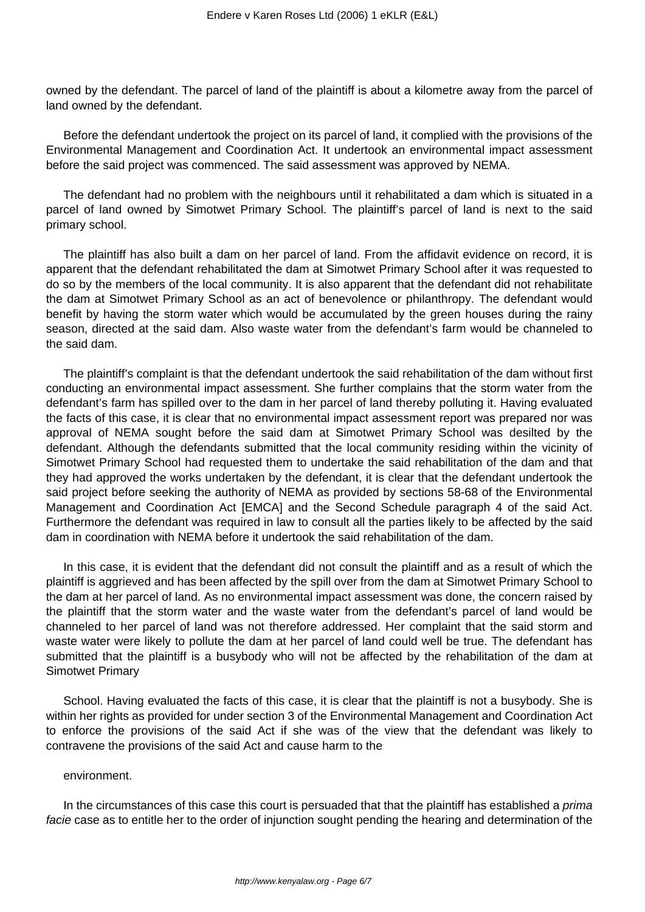owned by the defendant. The parcel of land of the plaintiff is about a kilometre away from the parcel of land owned by the defendant.

Before the defendant undertook the project on its parcel of land, it complied with the provisions of the Environmental Management and Coordination Act. It undertook an environmental impact assessment before the said project was commenced. The said assessment was approved by NEMA.

The defendant had no problem with the neighbours until it rehabilitated a dam which is situated in a parcel of land owned by Simotwet Primary School. The plaintiff's parcel of land is next to the said primary school.

The plaintiff has also built a dam on her parcel of land. From the affidavit evidence on record, it is apparent that the defendant rehabilitated the dam at Simotwet Primary School after it was requested to do so by the members of the local community. It is also apparent that the defendant did not rehabilitate the dam at Simotwet Primary School as an act of benevolence or philanthropy. The defendant would benefit by having the storm water which would be accumulated by the green houses during the rainy season, directed at the said dam. Also waste water from the defendant's farm would be channeled to the said dam.

The plaintiff's complaint is that the defendant undertook the said rehabilitation of the dam without first conducting an environmental impact assessment. She further complains that the storm water from the defendant's farm has spilled over to the dam in her parcel of land thereby polluting it. Having evaluated the facts of this case, it is clear that no environmental impact assessment report was prepared nor was approval of NEMA sought before the said dam at Simotwet Primary School was desilted by the defendant. Although the defendants submitted that the local community residing within the vicinity of Simotwet Primary School had requested them to undertake the said rehabilitation of the dam and that they had approved the works undertaken by the defendant, it is clear that the defendant undertook the said project before seeking the authority of NEMA as provided by sections 58-68 of the Environmental Management and Coordination Act [EMCA] and the Second Schedule paragraph 4 of the said Act. Furthermore the defendant was required in law to consult all the parties likely to be affected by the said dam in coordination with NEMA before it undertook the said rehabilitation of the dam.

In this case, it is evident that the defendant did not consult the plaintiff and as a result of which the plaintiff is aggrieved and has been affected by the spill over from the dam at Simotwet Primary School to the dam at her parcel of land. As no environmental impact assessment was done, the concern raised by the plaintiff that the storm water and the waste water from the defendant's parcel of land would be channeled to her parcel of land was not therefore addressed. Her complaint that the said storm and waste water were likely to pollute the dam at her parcel of land could well be true. The defendant has submitted that the plaintiff is a busybody who will not be affected by the rehabilitation of the dam at Simotwet Primary

School. Having evaluated the facts of this case, it is clear that the plaintiff is not a busybody. She is within her rights as provided for under section 3 of the Environmental Management and Coordination Act to enforce the provisions of the said Act if she was of the view that the defendant was likely to contravene the provisions of the said Act and cause harm to the

### environment.

In the circumstances of this case this court is persuaded that that the plaintiff has established a *prima* facie case as to entitle her to the order of injunction sought pending the hearing and determination of the